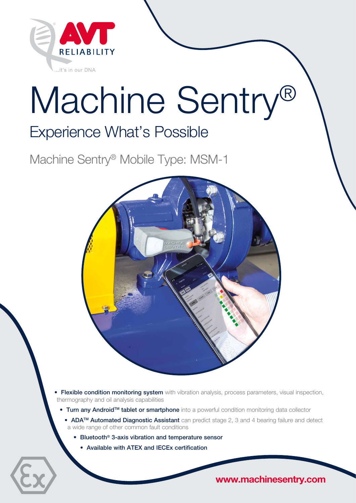

# Machine Sentry®

# Experience What's Possible

Machine Sentry® Mobile Type: MSM-1



- **Flexible condition monitoring system** with vibration analysis, process parameters, visual inspection, thermography and oil analysis capabilities
	- Turn any Android<sup>TM</sup> tablet or smartphone into a powerful condition monitoring data collector
		- ADA<sup>TM</sup> Automated Diagnostic Assistant can predict stage 2, 3 and 4 bearing failure and detect a wide range of other common fault conditions
			- Bluetooth® 3-axis vibration and temperature sensor
				- Available with ATEX and IECEx certification

www.machinesentry.com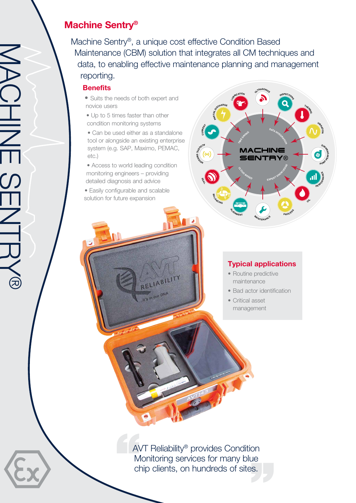## Machine Sentry®

Machine Sentry®, a unique cost effective Condition Based Maintenance (CBM) solution that integrates all CM techniques and data, to enabling effective maintenance planning and management reporting.

#### **Benefits**

- Suits the needs of both expert and novice users
- Up to 5 times faster than other condition monitoring systems

• Can be used either as a standalone tool or alongside an existing enterprise system (e.g. SAP, Maximo, PEMAC, etc.)

• Access to world leading condition monitoring engineers – providing detailed diagnosis and advice

RELIABILITY

It's in our DNA

• Easily configurable and scalable solution for future expansion



#### Typical applications

- Routine predictive maintenance
- Bad actor identification
- Critical asset management

AVT Reliability® provides Condition Monitoring services for many blue chip clients, on hundreds of sites.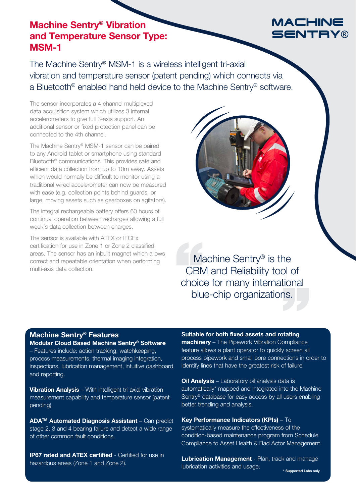### Machine Sentry® Vibration and Temperature Sensor Type: MSM-1

## The Machine Sentry® MSM-1 is a wireless intelligent tri-axial vibration and temperature sensor (patent pending) which connects via a Bluetooth® enabled hand held device to the Machine Sentry® software.

The sensor incorporates a 4 channel multiplexed data acquisition system which utilizes 3 internal accelerometers to give full 3-axis support. An additional sensor or fixed protection panel can be connected to the 4th channel.

The Machine Sentry® MSM-1 sensor can be paired to any Android tablet or smartphone using standard Bluetooth® communications. This provides safe and efficient data collection from up to 10m away. Assets which would normally be difficult to monitor using a traditional wired accelerometer can now be measured with ease (e.g. collection points behind guards, or large, moving assets such as gearboxes on agitators).

The integral rechargeable battery offers 60 hours of continual operation between recharges allowing a full week's data collection between charges.

The sensor is available with ATEX or IECEx certification for use in Zone 1 or Zone 2 classified areas. The sensor has an inbuilt magnet which allows correct and repeatable orientation when performing multi-axis data collection.



Machine Sentry<sup>®</sup> is the CBM and Reliability tool of choice for many international blue-chip organizations.

#### Machine Sentry® Features

Modular Cloud Based Machine Sentry® Software – Features include: action tracking, watchkeeping, process measurements, thermal imaging integration, inspections, lubrication management, intuitive dashboard and reporting.

Vibration Analysis – With intelligent tri-axial vibration measurement capability and temperature sensor (patent pending).

ADA<sup>™</sup> Automated Diagnosis Assistant – Can predict stage 2, 3 and 4 bearing failure and detect a wide range of other common fault conditions.

**IP67 rated and ATEX certified - Certified for use in** hazardous areas (Zone 1 and Zone 2).

Suitable for both fixed assets and rotating machinery - The Pipework Vibration Compliance feature allows a plant operator to quickly screen all process pipework and small bore connections in order to identify lines that have the greatest risk of failure.

Oil Analysis - Laboratory oil analysis data is automatically\* mapped and integrated into the Machine Sentry® database for easy access by all users enabling better trending and analysis.

#### Key Performance Indicators (KPIs) – To

systematically measure the effectiveness of the condition-based maintenance program from Schedule Compliance to Asset Health & Bad Actor Management.

Lubrication Management - Plan, track and manage lubrication activities and usage.

## MACHINE SENTRY®